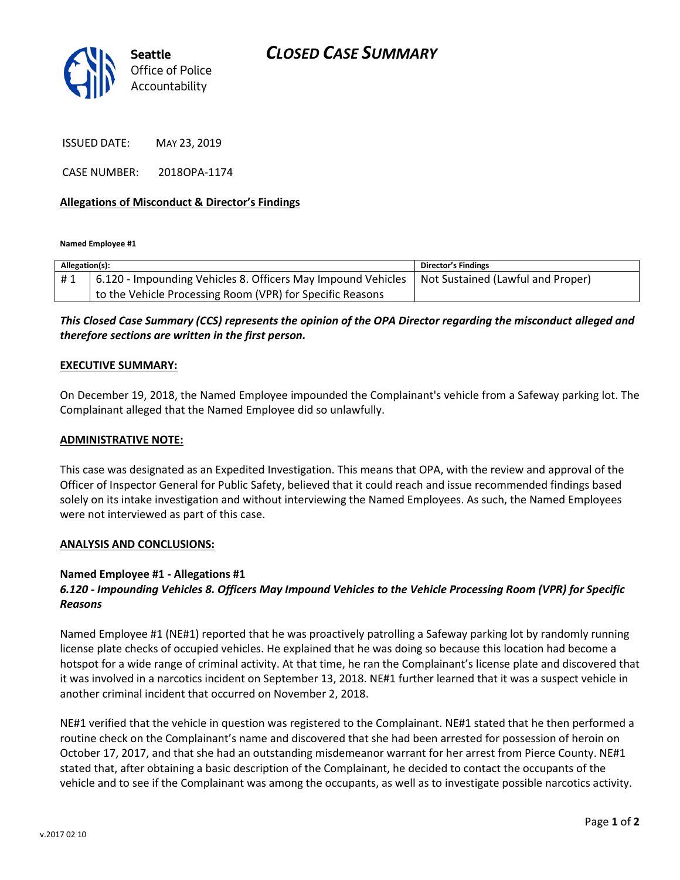

ISSUED DATE: MAY 23, 2019

CASE NUMBER: 2018OPA-1174

### **Allegations of Misconduct & Director's Findings**

**Named Employee #1**

| Allegation(s): |                                                                                                  | Director's Findings |
|----------------|--------------------------------------------------------------------------------------------------|---------------------|
| #1             | 6.120 - Impounding Vehicles 8. Officers May Impound Vehicles   Not Sustained (Lawful and Proper) |                     |
|                | to the Vehicle Processing Room (VPR) for Specific Reasons                                        |                     |

## *This Closed Case Summary (CCS) represents the opinion of the OPA Director regarding the misconduct alleged and therefore sections are written in the first person.*

#### **EXECUTIVE SUMMARY:**

On December 19, 2018, the Named Employee impounded the Complainant's vehicle from a Safeway parking lot. The Complainant alleged that the Named Employee did so unlawfully.

#### **ADMINISTRATIVE NOTE:**

This case was designated as an Expedited Investigation. This means that OPA, with the review and approval of the Officer of Inspector General for Public Safety, believed that it could reach and issue recommended findings based solely on its intake investigation and without interviewing the Named Employees. As such, the Named Employees were not interviewed as part of this case.

#### **ANALYSIS AND CONCLUSIONS:**

#### **Named Employee #1 - Allegations #1**

## *6.120 - Impounding Vehicles 8. Officers May Impound Vehicles to the Vehicle Processing Room (VPR) for Specific Reasons*

Named Employee #1 (NE#1) reported that he was proactively patrolling a Safeway parking lot by randomly running license plate checks of occupied vehicles. He explained that he was doing so because this location had become a hotspot for a wide range of criminal activity. At that time, he ran the Complainant's license plate and discovered that it was involved in a narcotics incident on September 13, 2018. NE#1 further learned that it was a suspect vehicle in another criminal incident that occurred on November 2, 2018.

NE#1 verified that the vehicle in question was registered to the Complainant. NE#1 stated that he then performed a routine check on the Complainant's name and discovered that she had been arrested for possession of heroin on October 17, 2017, and that she had an outstanding misdemeanor warrant for her arrest from Pierce County. NE#1 stated that, after obtaining a basic description of the Complainant, he decided to contact the occupants of the vehicle and to see if the Complainant was among the occupants, as well as to investigate possible narcotics activity.